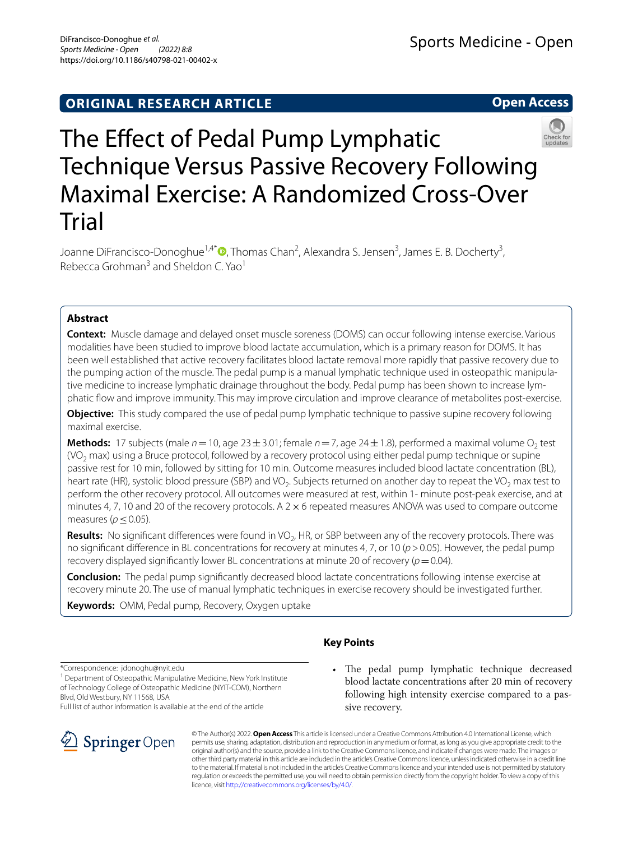**Open Access**

# The Effect of Pedal Pump Lymphatic Technique Versus Passive Recovery Following Maximal Exercise: A Randomized Cross‑Over Trial

Joanne DiFrancisco-Donoghue<sup>1[,](http://orcid.org/0000-0002-0848-3022)4\*</sup>®, Thomas Chan<sup>2</sup>, Alexandra S. Jensen<sup>3</sup>, James E. B. Docherty<sup>3</sup>, Rebecca Grohman<sup>3</sup> and Sheldon C. Yao<sup>1</sup>

# **Abstract**

**Context:** Muscle damage and delayed onset muscle soreness (DOMS) can occur following intense exercise. Various modalities have been studied to improve blood lactate accumulation, which is a primary reason for DOMS. It has been well established that active recovery facilitates blood lactate removal more rapidly that passive recovery due to the pumping action of the muscle. The pedal pump is a manual lymphatic technique used in osteopathic manipulative medicine to increase lymphatic drainage throughout the body. Pedal pump has been shown to increase lymphatic fow and improve immunity. This may improve circulation and improve clearance of metabolites post-exercise.

**Objective:** This study compared the use of pedal pump lymphatic technique to passive supine recovery following maximal exercise.

**Methods:** 17 subjects (male  $n = 10$ , age  $23 \pm 3.01$ ; female  $n = 7$ , age  $24 \pm 1.8$ ), performed a maximal volume  $O<sub>2</sub>$  test  $(VO<sub>2</sub>$  max) using a Bruce protocol, followed by a recovery protocol using either pedal pump technique or supine passive rest for 10 min, followed by sitting for 10 min. Outcome measures included blood lactate concentration (BL), heart rate (HR), systolic blood pressure (SBP) and VO<sub>2</sub>. Subjects returned on another day to repeat the VO<sub>2</sub> max test to perform the other recovery protocol. All outcomes were measured at rest, within 1- minute post-peak exercise, and at minutes 4, 7, 10 and 20 of the recovery protocols. A  $2 \times 6$  repeated measures ANOVA was used to compare outcome measures (*p*≤0.05).

**Results:** No significant differences were found in VO<sub>2</sub>, HR, or SBP between any of the recovery protocols. There was no significant difference in BL concentrations for recovery at minutes 4, 7, or 10 ( $p > 0.05$ ). However, the pedal pump recovery displayed significantly lower BL concentrations at minute 20 of recovery ( $p=0.04$ ).

**Conclusion:** The pedal pump signifcantly decreased blood lactate concentrations following intense exercise at recovery minute 20. The use of manual lymphatic techniques in exercise recovery should be investigated further.

**Keywords:** OMM, Pedal pump, Recovery, Oxygen uptake

# **Key Points**

\*Correspondence: jdonoghu@nyit.edu

<sup>1</sup> Department of Osteopathic Manipulative Medicine, New York Institute of Technology College of Osteopathic Medicine (NYIT-COM), Northern Blvd, Old Westbury, NY 11568, USA

Full list of author information is available at the end of the article



• The pedal pump lymphatic technique decreased blood lactate concentrations after 20 min of recovery following high intensity exercise compared to a passive recovery.

© The Author(s) 2022. **Open Access** This article is licensed under a Creative Commons Attribution 4.0 International License, which permits use, sharing, adaptation, distribution and reproduction in any medium or format, as long as you give appropriate credit to the original author(s) and the source, provide a link to the Creative Commons licence, and indicate if changes were made. The images or other third party material in this article are included in the article's Creative Commons licence, unless indicated otherwise in a credit line to the material. If material is not included in the article's Creative Commons licence and your intended use is not permitted by statutory regulation or exceeds the permitted use, you will need to obtain permission directly from the copyright holder. To view a copy of this licence, visit [http://creativecommons.org/licenses/by/4.0/.](http://creativecommons.org/licenses/by/4.0/)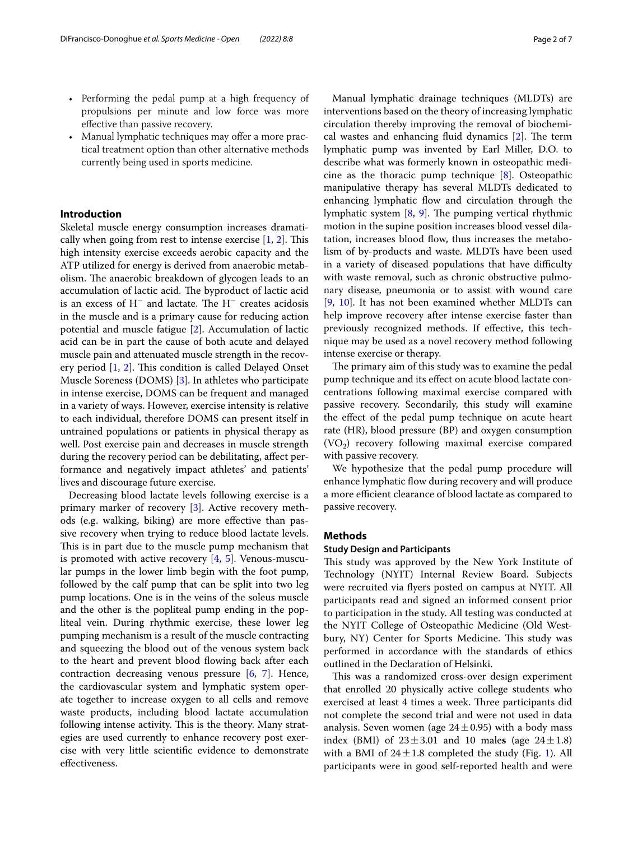- Performing the pedal pump at a high frequency of propulsions per minute and low force was more efective than passive recovery.
- Manual lymphatic techniques may offer a more practical treatment option than other alternative methods currently being used in sports medicine.

# **Introduction**

Skeletal muscle energy consumption increases dramatically when going from rest to intense exercise  $[1, 2]$  $[1, 2]$  $[1, 2]$  $[1, 2]$ . This high intensity exercise exceeds aerobic capacity and the ATP utilized for energy is derived from anaerobic metabolism. The anaerobic breakdown of glycogen leads to an accumulation of lactic acid. The byproduct of lactic acid is an excess of H<sup>−</sup> and lactate. The H<sup>−</sup> creates acidosis in the muscle and is a primary cause for reducing action potential and muscle fatigue [[2\]](#page-5-1). Accumulation of lactic acid can be in part the cause of both acute and delayed muscle pain and attenuated muscle strength in the recovery period  $[1, 2]$  $[1, 2]$  $[1, 2]$  $[1, 2]$ . This condition is called Delayed Onset Muscle Soreness (DOMS) [[3\]](#page-6-0). In athletes who participate in intense exercise, DOMS can be frequent and managed in a variety of ways. However, exercise intensity is relative to each individual, therefore DOMS can present itself in untrained populations or patients in physical therapy as well. Post exercise pain and decreases in muscle strength during the recovery period can be debilitating, afect performance and negatively impact athletes' and patients' lives and discourage future exercise.

Decreasing blood lactate levels following exercise is a primary marker of recovery [[3\]](#page-6-0). Active recovery methods (e.g. walking, biking) are more efective than passive recovery when trying to reduce blood lactate levels. This is in part due to the muscle pump mechanism that is promoted with active recovery  $[4, 5]$  $[4, 5]$  $[4, 5]$ . Venous-muscular pumps in the lower limb begin with the foot pump, followed by the calf pump that can be split into two leg pump locations. One is in the veins of the soleus muscle and the other is the popliteal pump ending in the popliteal vein. During rhythmic exercise, these lower leg pumping mechanism is a result of the muscle contracting and squeezing the blood out of the venous system back to the heart and prevent blood fowing back after each contraction decreasing venous pressure  $[6, 7]$  $[6, 7]$  $[6, 7]$  $[6, 7]$ . Hence, the cardiovascular system and lymphatic system operate together to increase oxygen to all cells and remove waste products, including blood lactate accumulation following intense activity. This is the theory. Many strategies are used currently to enhance recovery post exercise with very little scientifc evidence to demonstrate efectiveness.

Manual lymphatic drainage techniques (MLDTs) are interventions based on the theory of increasing lymphatic circulation thereby improving the removal of biochemical wastes and enhancing fluid dynamics  $[2]$  $[2]$ . The term lymphatic pump was invented by Earl Miller, D.O. to describe what was formerly known in osteopathic medicine as the thoracic pump technique [[8\]](#page-6-5). Osteopathic manipulative therapy has several MLDTs dedicated to enhancing lymphatic flow and circulation through the lymphatic system  $[8, 9]$  $[8, 9]$  $[8, 9]$  $[8, 9]$  $[8, 9]$ . The pumping vertical rhythmic motion in the supine position increases blood vessel dilatation, increases blood flow, thus increases the metabolism of by-products and waste. MLDTs have been used in a variety of diseased populations that have difficulty with waste removal, such as chronic obstructive pulmonary disease, pneumonia or to assist with wound care [[9,](#page-6-6) [10\]](#page-6-7). It has not been examined whether MLDTs can help improve recovery after intense exercise faster than previously recognized methods. If efective, this technique may be used as a novel recovery method following intense exercise or therapy.

The primary aim of this study was to examine the pedal pump technique and its efect on acute blood lactate concentrations following maximal exercise compared with passive recovery. Secondarily, this study will examine the effect of the pedal pump technique on acute heart rate (HR), blood pressure (BP) and oxygen consumption  $(VO<sub>2</sub>)$  recovery following maximal exercise compared with passive recovery.

We hypothesize that the pedal pump procedure will enhance lymphatic fow during recovery and will produce a more efficient clearance of blood lactate as compared to passive recovery.

#### **Methods**

# **Study Design and Participants**

This study was approved by the New York Institute of Technology (NYIT) Internal Review Board. Subjects were recruited via fyers posted on campus at NYIT. All participants read and signed an informed consent prior to participation in the study. All testing was conducted at the NYIT College of Osteopathic Medicine (Old Westbury, NY) Center for Sports Medicine. This study was performed in accordance with the standards of ethics outlined in the Declaration of Helsinki.

This was a randomized cross-over design experiment that enrolled 20 physically active college students who exercised at least 4 times a week. Three participants did not complete the second trial and were not used in data analysis. Seven women (age  $24 \pm 0.95$ ) with a body mass index (BMI) of  $23 \pm 3.01$  and 10 males (age  $24 \pm 1.8$ ) with a BMI of  $24 \pm 1.8$  completed the study (Fig. [1\)](#page-2-0). All participants were in good self-reported health and were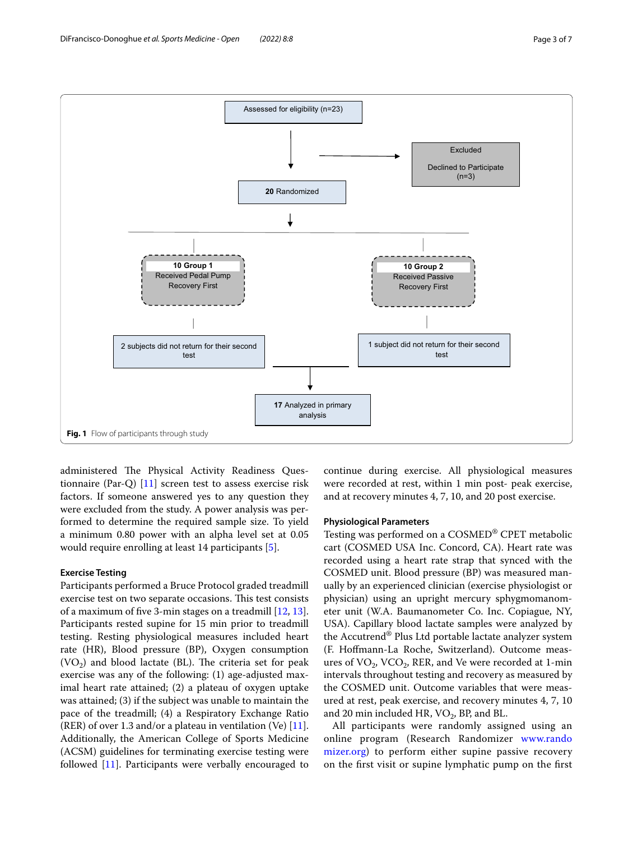

<span id="page-2-0"></span>administered The Physical Activity Readiness Questionnaire (Par-Q) [\[11\]](#page-6-8) screen test to assess exercise risk factors. If someone answered yes to any question they were excluded from the study. A power analysis was performed to determine the required sample size. To yield a minimum 0.80 power with an alpha level set at 0.05 would require enrolling at least 14 participants [[5\]](#page-6-2).

#### **Exercise Testing**

Participants performed a Bruce Protocol graded treadmill exercise test on two separate occasions. This test consists of a maximum of fve 3-min stages on a treadmill [[12,](#page-6-9) [13](#page-6-10)]. Participants rested supine for 15 min prior to treadmill testing. Resting physiological measures included heart rate (HR), Blood pressure (BP), Oxygen consumption  $(VO<sub>2</sub>)$  and blood lactate (BL). The criteria set for peak exercise was any of the following: (1) age-adjusted maximal heart rate attained; (2) a plateau of oxygen uptake was attained; (3) if the subject was unable to maintain the pace of the treadmill; (4) a Respiratory Exchange Ratio (RER) of over 1.3 and/or a plateau in ventilation (Ve)  $[11]$  $[11]$ . Additionally, the American College of Sports Medicine (ACSM) guidelines for terminating exercise testing were followed [[11\]](#page-6-8). Participants were verbally encouraged to continue during exercise. All physiological measures were recorded at rest, within 1 min post- peak exercise, and at recovery minutes 4, 7, 10, and 20 post exercise.

#### **Physiological Parameters**

Testing was performed on a COSMED® CPET metabolic cart (COSMED USA Inc. Concord, CA). Heart rate was recorded using a heart rate strap that synced with the COSMED unit. Blood pressure (BP) was measured manually by an experienced clinician (exercise physiologist or physician) using an upright mercury sphygmomanometer unit (W.A. Baumanometer Co. Inc. Copiague, NY, USA). Capillary blood lactate samples were analyzed by the Accutrend® Plus Ltd portable lactate analyzer system (F. Hofmann-La Roche, Switzerland). Outcome measures of  $VO_2$ ,  $VCO_2$ , RER, and Ve were recorded at 1-min intervals throughout testing and recovery as measured by the COSMED unit. Outcome variables that were measured at rest, peak exercise, and recovery minutes 4, 7, 10 and 20 min included HR,  $VO_2$ , BP, and BL.

All participants were randomly assigned using an online program (Research Randomizer [www.rando](http://www.randomizer.org) [mizer.org\)](http://www.randomizer.org) to perform either supine passive recovery on the frst visit or supine lymphatic pump on the frst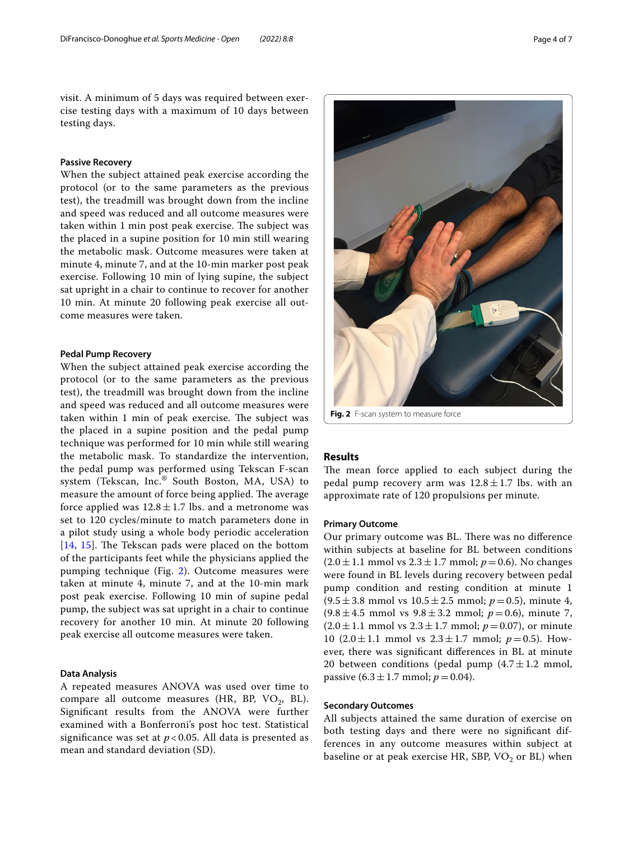visit. A minimum of 5 days was required between exercise testing days with a maximum of 10 days between testing days.

#### **Passive Recovery**

When the subject attained peak exercise according the protocol (or to the same parameters as the previous test), the treadmill was brought down from the incline and speed was reduced and all outcome measures were taken within 1 min post peak exercise. The subject was the placed in a supine position for 10 min still wearing the metabolic mask. Outcome measures were taken at minute 4, minute 7, and at the 10-min marker post peak exercise. Following 10 min of lying supine, the subject sat upright in a chair to continue to recover for another 10 min. At minute 20 following peak exercise all outcome measures were taken.

## **Pedal Pump Recovery**

When the subject attained peak exercise according the protocol (or to the same parameters as the previous test), the treadmill was brought down from the incline and speed was reduced and all outcome measures were taken within 1 min of peak exercise. The subject was the placed in a supine position and the pedal pump technique was performed for 10 min while still wearing the metabolic mask. To standardize the intervention, the pedal pump was performed using Tekscan F-scan system (Tekscan, Inc.® South Boston, MA, USA) to measure the amount of force being applied. The average force applied was  $12.8 \pm 1.7$  lbs. and a metronome was set to 120 cycles/minute to match parameters done in a pilot study using a whole body periodic acceleration  $[14, 15]$  $[14, 15]$  $[14, 15]$  $[14, 15]$ . The Tekscan pads were placed on the bottom of the participants feet while the physicians applied the pumping technique (Fig. [2\)](#page-3-0). Outcome measures were taken at minute 4, minute 7, and at the 10-min mark post peak exercise. Following 10 min of supine pedal pump, the subject was sat upright in a chair to continue recovery for another 10 min. At minute 20 following peak exercise all outcome measures were taken.

# **Data Analysis**

A repeated measures ANOVA was used over time to compare all outcome measures (HR, BP,  $VO<sub>2</sub>$ , BL). Signifcant results from the ANOVA were further examined with a Bonferroni's post hoc test. Statistical significance was set at  $p < 0.05$ . All data is presented as mean and standard deviation (SD).



**Fig. 2** F-scan system to measure force

## <span id="page-3-0"></span>**Results**

The mean force applied to each subject during the pedal pump recovery arm was  $12.8 \pm 1.7$  lbs. with an approximate rate of 120 propulsions per minute.

#### **Primary Outcome**

Our primary outcome was BL. There was no difference within subjects at baseline for BL between conditions  $(2.0 \pm 1.1 \text{ mmol vs } 2.3 \pm 1.7 \text{ mmol}; p = 0.6)$ . No changes were found in BL levels during recovery between pedal pump condition and resting condition at minute 1  $(9.5 \pm 3.8 \text{ mmol vs } 10.5 \pm 2.5 \text{ mmol}; p=0.5)$ , minute 4,  $(9.8 \pm 4.5 \text{ mmol vs } 9.8 \pm 3.2 \text{ mmol; } p=0.6)$ , minute 7,  $(2.0 \pm 1.1 \text{ mmol vs } 2.3 \pm 1.7 \text{ mmol}; p=0.07)$ , or minute 10  $(2.0 \pm 1.1 \text{ mmol vs } 2.3 \pm 1.7 \text{ mmol}; p = 0.5)$ . However, there was signifcant diferences in BL at minute 20 between conditions (pedal pump  $(4.7 \pm 1.2 \text{ mmol})$ , passive  $(6.3 \pm 1.7 \text{ mmol}; p = 0.04)$ .

### **Secondary Outcomes**

All subjects attained the same duration of exercise on both testing days and there were no signifcant differences in any outcome measures within subject at baseline or at peak exercise HR, SBP,  $VO<sub>2</sub>$  or BL) when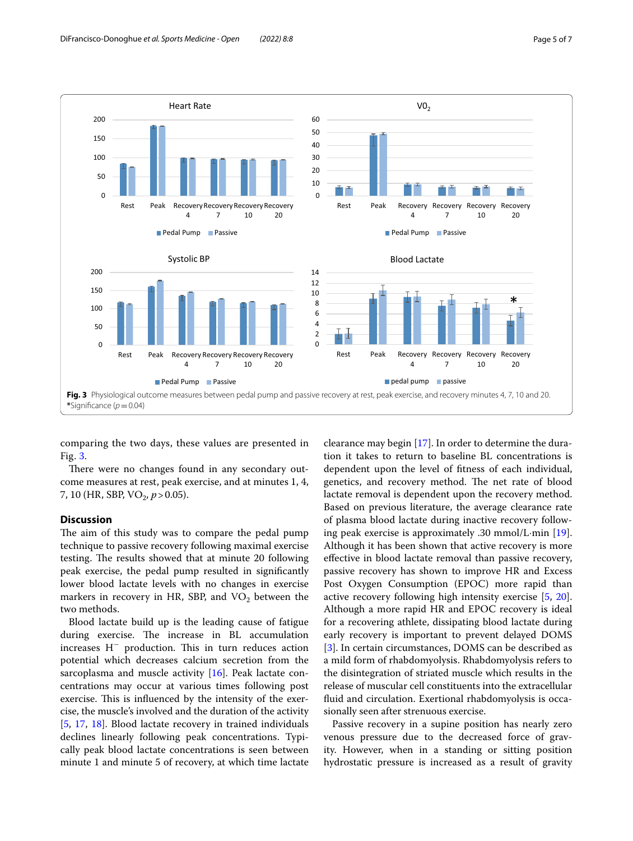

<span id="page-4-0"></span>comparing the two days, these values are presented in Fig. [3.](#page-4-0)

There were no changes found in any secondary outcome measures at rest, peak exercise, and at minutes 1, 4, 7, 10 (HR, SBP,  $VO_2$ ,  $p > 0.05$ ).

#### **Discussion**

The aim of this study was to compare the pedal pump technique to passive recovery following maximal exercise testing. The results showed that at minute 20 following peak exercise, the pedal pump resulted in signifcantly lower blood lactate levels with no changes in exercise markers in recovery in HR, SBP, and  $VO<sub>2</sub>$  between the two methods.

Blood lactate build up is the leading cause of fatigue during exercise. The increase in BL accumulation increases H<sup>−</sup> production. This in turn reduces action potential which decreases calcium secretion from the sarcoplasma and muscle activity [\[16](#page-6-13)]. Peak lactate concentrations may occur at various times following post exercise. This is influenced by the intensity of the exercise, the muscle's involved and the duration of the activity [[5,](#page-6-2) [17](#page-6-14), [18\]](#page-6-15). Blood lactate recovery in trained individuals declines linearly following peak concentrations. Typically peak blood lactate concentrations is seen between minute 1 and minute 5 of recovery, at which time lactate

clearance may begin [[17\]](#page-6-14). In order to determine the duration it takes to return to baseline BL concentrations is dependent upon the level of ftness of each individual, genetics, and recovery method. The net rate of blood lactate removal is dependent upon the recovery method. Based on previous literature, the average clearance rate of plasma blood lactate during inactive recovery following peak exercise is approximately .30 mmol/L·min [\[19](#page-6-16)]. Although it has been shown that active recovery is more efective in blood lactate removal than passive recovery, passive recovery has shown to improve HR and Excess Post Oxygen Consumption (EPOC) more rapid than active recovery following high intensity exercise [[5,](#page-6-2) [20](#page-6-17)]. Although a more rapid HR and EPOC recovery is ideal for a recovering athlete, dissipating blood lactate during early recovery is important to prevent delayed DOMS [[3\]](#page-6-0). In certain circumstances, DOMS can be described as a mild form of rhabdomyolysis. Rhabdomyolysis refers to the disintegration of striated muscle which results in the release of muscular cell constituents into the extracellular fuid and circulation. Exertional rhabdomyolysis is occasionally seen after strenuous exercise.

Passive recovery in a supine position has nearly zero venous pressure due to the decreased force of gravity. However, when in a standing or sitting position hydrostatic pressure is increased as a result of gravity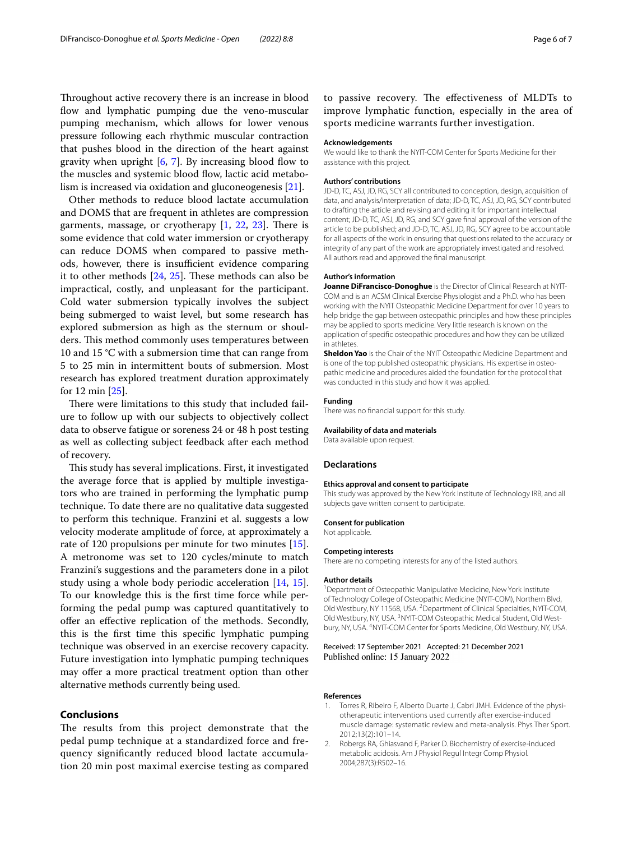Throughout active recovery there is an increase in blood flow and lymphatic pumping due the veno-muscular pumping mechanism, which allows for lower venous pressure following each rhythmic muscular contraction that pushes blood in the direction of the heart against gravity when upright  $[6, 7]$  $[6, 7]$  $[6, 7]$  $[6, 7]$  $[6, 7]$ . By increasing blood flow to the muscles and systemic blood flow, lactic acid metabolism is increased via oxidation and gluconeogenesis [\[21](#page-6-18)].

Other methods to reduce blood lactate accumulation and DOMS that are frequent in athletes are compression garments, massage, or cryotherapy  $[1, 22, 23]$  $[1, 22, 23]$  $[1, 22, 23]$  $[1, 22, 23]$  $[1, 22, 23]$  $[1, 22, 23]$ . There is some evidence that cold water immersion or cryotherapy can reduce DOMS when compared to passive methods, however, there is insufficient evidence comparing it to other methods  $[24, 25]$  $[24, 25]$  $[24, 25]$ . These methods can also be impractical, costly, and unpleasant for the participant. Cold water submersion typically involves the subject being submerged to waist level, but some research has explored submersion as high as the sternum or shoulders. This method commonly uses temperatures between 10 and 15 °C with a submersion time that can range from 5 to 25 min in intermittent bouts of submersion. Most research has explored treatment duration approximately for 12 min [[25\]](#page-6-22).

There were limitations to this study that included failure to follow up with our subjects to objectively collect data to observe fatigue or soreness 24 or 48 h post testing as well as collecting subject feedback after each method of recovery.

This study has several implications. First, it investigated the average force that is applied by multiple investigators who are trained in performing the lymphatic pump technique. To date there are no qualitative data suggested to perform this technique. Franzini et al. suggests a low velocity moderate amplitude of force, at approximately a rate of 120 propulsions per minute for two minutes [\[15](#page-6-12)]. A metronome was set to 120 cycles/minute to match Franzini's suggestions and the parameters done in a pilot study using a whole body periodic acceleration [[14,](#page-6-11) [15](#page-6-12)]. To our knowledge this is the frst time force while performing the pedal pump was captured quantitatively to ofer an efective replication of the methods. Secondly, this is the frst time this specifc lymphatic pumping technique was observed in an exercise recovery capacity. Future investigation into lymphatic pumping techniques may offer a more practical treatment option than other alternative methods currently being used.

# **Conclusions**

The results from this project demonstrate that the pedal pump technique at a standardized force and frequency signifcantly reduced blood lactate accumulation 20 min post maximal exercise testing as compared

to passive recovery. The effectiveness of MLDTs to improve lymphatic function, especially in the area of sports medicine warrants further investigation.

#### **Acknowledgements**

We would like to thank the NYIT-COM Center for Sports Medicine for their assistance with this project.

#### **Authors' contributions**

JD-D, TC, ASJ, JD, RG, SCY all contributed to conception, design, acquisition of data, and analysis/interpretation of data; JD-D, TC, ASJ, JD, RG, SCY contributed to drafting the article and revising and editing it for important intellectual content; JD-D, TC, ASJ, JD, RG, and SCY gave fnal approval of the version of the article to be published; and JD-D, TC, ASJ, JD, RG, SCY agree to be accountable for all aspects of the work in ensuring that questions related to the accuracy or integrity of any part of the work are appropriately investigated and resolved. All authors read and approved the fnal manuscript.

#### **Author's information**

Joanne DiFrancisco-Donoghue is the Director of Clinical Research at NYIT-COM and is an ACSM Clinical Exercise Physiologist and a Ph.D. who has been working with the NYIT Osteopathic Medicine Department for over 10 years to help bridge the gap between osteopathic principles and how these principles may be applied to sports medicine. Very little research is known on the application of specifc osteopathic procedures and how they can be utilized in athletes.

**Sheldon Yao** is the Chair of the NYIT Osteopathic Medicine Department and is one of the top published osteopathic physicians. His expertise in osteopathic medicine and procedures aided the foundation for the protocol that was conducted in this study and how it was applied.

#### **Funding**

There was no fnancial support for this study.

#### **Availability of data and materials**

Data available upon request.

#### **Declarations**

#### **Ethics approval and consent to participate**

This study was approved by the New York Institute of Technology IRB, and all subjects gave written consent to participate.

#### **Consent for publication**

Not applicable.

#### **Competing interests**

There are no competing interests for any of the listed authors.

#### **Author details**

<sup>1</sup> Department of Osteopathic Manipulative Medicine, New York Institute of Technology College of Osteopathic Medicine (NYIT-COM), Northern Blvd, Old Westbury, NY 11568, USA. <sup>2</sup> Department of Clinical Specialties, NYIT-COM, Old Westbury, NY, USA. <sup>3</sup> NYIT-COM Osteopathic Medical Student, Old Westbury, NY, USA. <sup>4</sup>NYIT-COM Center for Sports Medicine, Old Westbury, NY, USA.

#### Received: 17 September 2021 Accepted: 21 December 2021 Published online: 15 January 2022

#### **References**

- <span id="page-5-0"></span>Torres R, Ribeiro F, Alberto Duarte J, Cabri JMH. Evidence of the physiotherapeutic interventions used currently after exercise-induced muscle damage: systematic review and meta-analysis. Phys Ther Sport. 2012;13(2):101–14.
- <span id="page-5-1"></span>2. Robergs RA, Ghiasvand F, Parker D. Biochemistry of exercise-induced metabolic acidosis. Am J Physiol Regul Integr Comp Physiol. 2004;287(3):R502–16.